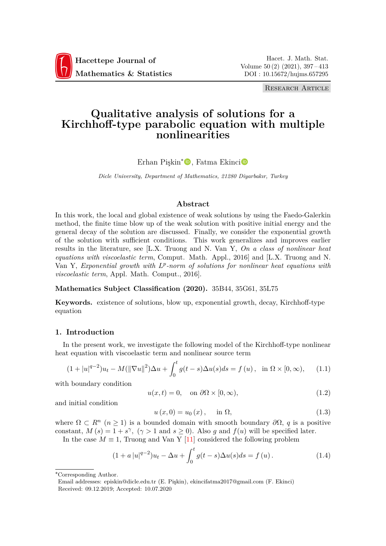

Research Article

# **Qualitative analysis of solutions for a Kirchhoff-type parabolic equation with multiple nonlinearities**

Erhan Pişkin<sup>∗</sup>D, Fatma Ekinci<sup>®</sup>

*Dicle University, Department of Mathematics, 21280 Diyarbakır, Turkey*

# **Abstract**

In this work, the local and global existence of weak solutions by using the Faedo-Galerkin method, the finite time blow up of the weak solution with positive initial energy and the general decay of the solution are discussed. Finally, we consider the exponential growth of the solution with sufficient conditions. This work generalizes and improves earlier results in the literature, see [L.X. Truong and N. Van Y, *On a class of nonlinear heat equations with viscoelastic term*, Comput. Math. Appl., 2016] and [L.X. Truong and N. Van Y, *Exponential growth with L<sup>p</sup>-norm of solutions for nonlinear heat equations with viscoelastic term*, Appl. Math. Comput., 2016].

# **Mathematics Subject Classification (2020).** 35B44, 35G61, 35L75

**Keywords.** existence of solutions, blow up, exponential growth, decay, Kirchhoff-type equation

# **1. Introduction**

In the present work, we investigate the following model of the Kirchhoff-type nonlinear heat equation with viscoelastic term and nonlinear source term

$$
(1+|u|^{q-2})u_t - M(||\nabla u||^2)\Delta u + \int_0^t g(t-s)\Delta u(s)ds = f(u), \text{ in } \Omega \times [0, \infty), \quad (1.1)
$$

with boundary condition

$$
u(x,t) = 0, \quad \text{on } \partial\Omega \times [0,\infty), \tag{1.2}
$$

<span id="page-0-1"></span>and initial condition

$$
u(x, 0) = u_0(x), \text{ in } \Omega,
$$
 (1.3)

where  $\Omega \subset R^n$   $(n \geq 1)$  is a bounded domain with smooth boundary  $\partial \Omega$ , q is a positive constant,  $M(s) = 1 + s^{\gamma}$ ,  $(\gamma > 1$  and  $s \ge 0)$ . Also *g* and  $f(u)$  will be specified later.

In the case  $M \equiv 1$ , Truong and Van Y [11] considered the following problem

<span id="page-0-0"></span>
$$
(1 + a |u|^{q-2})u_t - \Delta u + \int_0^t g(t-s)\Delta u(s)ds = f(u).
$$
 (1.4)

<sup>∗</sup>Corresponding Author.

Email addresses: episkin@dicle.edu.tr (E. Pişkin), ekincifatma2017@gmail.com (F. Ekinci) Received: 09.12.2019; Accepted: 10.07.2020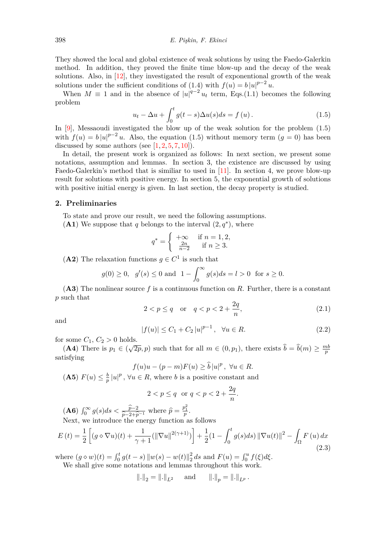They showed the local and global existence of weak solutions by using the Faedo-Galerkin method. In addition, they proved the finite time blow-up and the decay of the weak solutions. Also, in [12], they investigated the result of exponentional growth of the weak solutions under the sufficient conditions of (1.4) with  $f(u) = b |u|^{p-2} u$ .

When  $M \equiv 1$  and in the absence of  $|u|^{q-2}u_t$  term, Eqs.(1.1) becomes the following problem

<span id="page-1-0"></span>
$$
u_t - \Delta u + \int_0^t g(t-s)\Delta u(s)ds = f(u).
$$
 (1.5)

In [9], Messaoudi investigated the blow up of the weak sol[utio](#page-0-1)n for the problem (1.5) with  $f(u) = b |u|^{p-2}u$ . Also, the equation (1.5) without memory term  $(g = 0)$  has been discussed by some authors (see  $[1, 2, 5, 7, 10]$ ).

In detail, the present work is organized as follows: In next section, we present some not[at](#page-16-0)ions, assumption and lemmas. In section 3, the existence are discussed by u[sing](#page-1-0) Faedo-Galerkin's method that is similiar to [use](#page-1-0)d in [11]. In section 4, we prove blow-up result for solutions with positive [e](#page-16-1)[ne](#page-16-2)[rg](#page-16-3)[y.](#page-16-4) [In](#page-16-5) section 5, the exponential growth of solutions with positive initial energy is given. In last section, the decay property is studied.

## **2. Preliminaries**

To state and prove our result, we need the following assumptions.

(A1) We suppose that *q* belongs to the interval  $(2, q^*)$ , where

$$
q^* = \begin{cases} +\infty & \text{if } n = 1, 2, \\ \frac{2n}{n-2} & \text{if } n \ge 3. \end{cases}
$$

(A2) The relaxation functions  $g \in C^1$  is such that

$$
g(0) \ge 0
$$
,  $g'(s) \le 0$  and  $1 - \int_0^\infty g(s)ds = l > 0$  for  $s \ge 0$ .

(**A3**) The nonlinear source *f* is a continuous function on *R*. Further, there is a constant *p* such that

$$
2 < p \le q \quad \text{or} \quad q < p < 2 + \frac{2q}{n}, \tag{2.1}
$$

and

<span id="page-1-1"></span>
$$
|f(u)| \le C_1 + C_2 |u|^{p-1}, \quad \forall u \in R.
$$
 (2.2)

for some  $C_1$ ,  $C_2 > 0$  holds.

(**A**4) There is  $p_1 \in (\sqrt{2p}, p)$  such that for all  $m \in (0, p_1)$ , there exists  $\hat{b} = \hat{b}(m) \ge \frac{mb}{p}$ *p* satisfying

$$
f(u)u - (p-m)F(u) \ge \widehat{b}|u|^p, \ \forall u \in R.
$$

 $($ **A5** $)$   $F(u) \leq \frac{b}{n}$  $\frac{b}{p}$  | $u$ |<sup>*p*</sup>,  $\forall u \in R$ , where *b* is a positive constant and

$$
2 < p \le q \quad \text{or} \quad q < p < 2 + \frac{2q}{n}.
$$

 $($ **A6** $)$  $\int_0^\infty g(s)ds < \frac{\hat{p}-2}{\hat{p}-2+\hat{p}-1}$  where  $\hat{p} = \frac{p_1^2}{p}$ .<br>Next, we introduce the energy function as

Next, we introduce the energy function as follows

$$
E(t) = \frac{1}{2} \left[ (g \diamond \nabla u)(t) + \frac{1}{\gamma + 1} (\|\nabla u\|^{2(\gamma + 1)}) \right] + \frac{1}{2} (1 - \int_0^t g(s) ds) \|\nabla u(t)\|^2 - \int_{\Omega} F(u) dx
$$
\n(2.3)

<span id="page-1-2"></span>where  $(g \circ w)(t) = \int_0^t g(t-s) ||w(s) - w(t)||_2^2$  $\frac{2}{2}$ *ds* and  $F(u) = \int_0^u f(\xi) d\xi$ . We shall give some notations and lemmas throughout this work.

$$
\|.\|_2 = \|.\|_{L^2}
$$
 and  $\|.\|_p = \|.\|_{L^p}$ .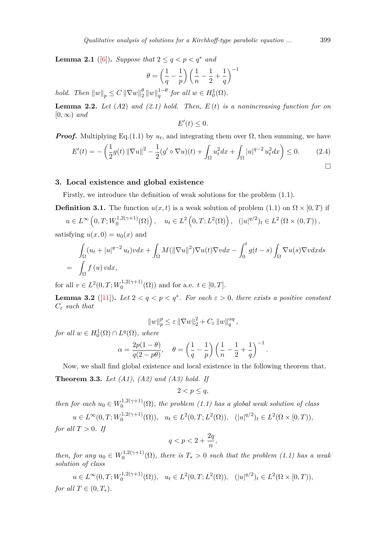**Lemma 2.1** ([6]). *Suppose that*  $2 \le q \le p \le q^*$  *and* 

$$
\theta = \left(\frac{1}{q}-\frac{1}{p}\right)\left(\frac{1}{n}-\frac{1}{2}+\frac{1}{q}\right)^{-1}
$$

*hold.* Then  $\|w\|_p \leq C \|\nabla w\|_2^{\theta}$  $\frac{\theta}{2} \|w\|_q^{1-\theta}$  for all  $w \in H_0^1(\Omega)$ .

**Lemma 2.2.** *Let* (*A*2) *and (2.1) hold. Then, E* (*t*) *is a nonincreasing function for on*  $[0, \infty)$  *and* 

$$
E'(t) \leq 0.
$$

*Proof.* Multiplying Eq.(1.1) [by](#page-1-1)  $u_t$ , and integrating them over  $\Omega$ , then summing, we have

$$
E'(t) = -\left(\frac{1}{2}g(t)\|\nabla u\|^2 - \frac{1}{2}(g'\diamond \nabla u)(t) + \int_{\Omega} u_t^2 dx + \int_{\Omega} |u|^{q-2} u_t^2 dx\right) \le 0.
$$
 (2.4)

## **3. Local existence and global existence**

<span id="page-2-1"></span>Firstly, we introduce the definition of weak solutions for the problem (1.1).

**Definition 3.1.** The function  $u(x, t)$  is a weak solution of problem (1.1) on  $\Omega \times [0, T)$  if

 $u \in L^{\infty}$   $(0, T; W_0^{1, 2(\gamma+1)})$  $\left(u_0^{(1,2(\gamma+1)}(\Omega)\right), \quad u_t \in L^2\left(0,T;L^2(\Omega)\right), \quad (|u|^{q/2})_t \in L^2\left(\Omega \times (0,T)\right),$ satisfying  $u(x, 0) = u_0(x)$  and

$$
\int_{\Omega} (u_t + |u|^{q-2} u_t) v dx + \int_{\Omega} M(||\nabla u||^2) \nabla u(t) \nabla v dx - \int_0^t g(t - s) \int_{\Omega} \nabla u(s) \nabla v dx ds
$$
\n
$$
= \int_{\Omega} f(u) v dx,
$$

for all  $v \in L^2(0,T;W_0^{1,2(\gamma+1)})$  $0^{(1,2(\gamma+1)}(\Omega))$  and for a.e.  $t \in [0,T]$ .

**Lemma 3.2** ([11]). Let  $2 < q < p < q^*$ . For each  $\epsilon > 0$ , there exists a positive constant *C<sup>ε</sup> such that*

$$
||w||_p^p \le \varepsilon ||\nabla w||_2^2 + C_{\varepsilon} ||w||_q^{\alpha q},
$$

<span id="page-2-0"></span>*for all*  $w \in H_0^1(\Omega) \cap L^q(\Omega)$ *, where* 

$$
\alpha = \frac{2p(1-\theta)}{q(2-p\theta)}, \quad \theta = \left(\frac{1}{q} - \frac{1}{p}\right) \left(\frac{1}{n} - \frac{1}{2} + \frac{1}{q}\right)^{-1}.
$$

Now, we shall find global existence and local existence in the following theorem that.

**Theorem 3.3.** *Let (A1), (A2) and (A3) hold. If*

$$
2 < p \le q
$$

*then for each*  $u_0 \in W_0^{1,2(\gamma+1)}$  $\int_0^{1,2(\gamma+1)} (\Omega)$ , the problem (1.1) has a global weak solution of class  $u \in L^{\infty}(0, T; W_0^{1, 2(\gamma+1)})$  $u_t \in L^2(0,T; L^2(\Omega)), \quad u_t \in L^2(0,T; L^2(\Omega)), \quad (|u|^{q/2})_t \in L^2(\Omega \times [0,T)),$ 

*for all*  $T > 0$ *. If* 

$$
q
$$

*then, for any*  $u_0 \in W_0^{1,2(\gamma+1)}$  $\int_0^{1,2(\gamma+1)} (\Omega)$ , there is  $T_* > 0$  such that the problem (1.1) has a weak *solution of class*

 $u \in L^{\infty}(0, T; W_0^{1, 2(\gamma+1)})$  $u_t \in L^2(0,T; L^2(\Omega)), \quad u_t \in L^2(0,T; L^2(\Omega)), \quad (|u|^{q/2})_t \in L^2(\Omega \times [0,T)),$ *for all*  $T \in (0, T_*)$ .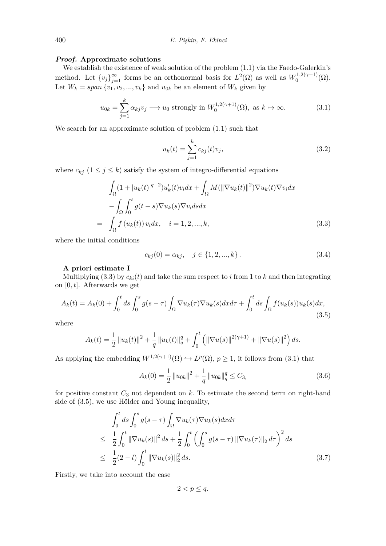#### *Proof.* **Approximate solutions**

We establish the existence of weak solution of the problem (1.1) via the Faedo-Galerkin's method. Let  ${v_j}_{j=1}^{\infty}$  forms be an orthonormal basis for  $L^2(\Omega)$  as well as  $W_0^{1,2(\gamma+1)}$  $\Omega^{(1,2(\gamma+1)}_{0}(\Omega).$ Let  $W_k = span\{v_1, v_2, ..., v_k\}$  and  $u_{0k}$  be an element of  $W_k$  given by

<span id="page-3-1"></span>
$$
u_{0k} = \sum_{j=1}^{k} \alpha_{kj} v_j \longrightarrow u_0 \text{ strongly in } W_0^{1,2(\gamma+1)}(\Omega), \text{ as } k \to \infty.
$$
 (3.1)

We search for an approximate solution of problem (1.1) such that

$$
u_k(t) = \sum_{j=1}^{k} c_{kj}(t)v_j,
$$
\n(3.2)

where  $c_{kj}$  ( $1 \leq j \leq k$ ) satisfy the system of integro-differential equations

<span id="page-3-0"></span>
$$
\int_{\Omega} (1+|u_k(t)|^{q-2})u'_k(t)v_i dx + \int_{\Omega} M(||\nabla u_k(t)||^2) \nabla u_k(t) \nabla v_i dx
$$

$$
-\int_{\Omega} \int_0^t g(t-s) \nabla u_k(s) \nabla v_i ds dx
$$

$$
= \int_{\Omega} f(u_k(t)) v_i dx, \quad i = 1, 2, ..., k,
$$
(3.3)

where the initial conditions

$$
c_{kj}(0) = \alpha_{kj}, \quad j \in \{1, 2, ..., k\}.
$$
\n(3.4)

#### **A priori estimate I**

Multiplying (3.3) by  $c_{ki}(t)$  and take the sum respect to *i* from 1 to *k* and then integrating on [0*, t*]. Afterwards we get

$$
A_k(t) = A_k(0) + \int_0^t ds \int_0^s g(s-\tau) \int_{\Omega} \nabla u_k(\tau) \nabla u_k(s) dx d\tau + \int_0^t ds \int_{\Omega} f(u_k(s)) u_k(s) dx,
$$
\n(3.5)

<span id="page-3-2"></span>where

$$
A_k(t) = \frac{1}{2} ||u_k(t)||^2 + \frac{1}{q} ||u_k(t)||_q^q + \int_0^t (||\nabla u(s)||^{2(\gamma+1)} + ||\nabla u(s)||^2) ds.
$$

As applying the embedding  $W^{1,2(\gamma+1)}(\Omega) \hookrightarrow L^p(\Omega)$ ,  $p \geq 1$ , it follows from (3.1) that

<span id="page-3-3"></span>
$$
A_k(0) = \frac{1}{2} ||u_{0k}||^2 + \frac{1}{q} ||u_{0k}||_q^q \le C_3,
$$
\n(3.6)

for positive constant  $C_3$  not dependent [on](#page-3-1)  $k$ . To estimate the second term on right-hand side of (3.5), we use Hölder and Young inequality,

<span id="page-3-4"></span>
$$
\int_{0}^{t} ds \int_{0}^{s} g(s-\tau) \int_{\Omega} \nabla u_{k}(\tau) \nabla u_{k}(s) dx d\tau
$$
\n
$$
\leq \frac{1}{2} \int_{0}^{t} ||\nabla u_{k}(s)||^{2} ds + \frac{1}{2} \int_{0}^{t} \left( \int_{0}^{s} g(s-\tau) ||\nabla u_{k}(\tau)||_{2} d\tau \right)^{2} ds
$$
\n
$$
\leq \frac{1}{2} (2-l) \int_{0}^{t} ||\nabla u_{k}(s)||_{2}^{2} ds. \tag{3.7}
$$

Firstly, we take into account the case

 $2 < p \leq q$ .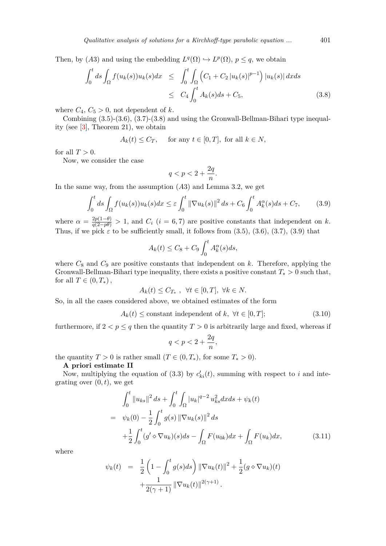Then, by (A3) and using the embedding  $L^q(\Omega) \hookrightarrow L^p(\Omega)$ ,  $p \leq q$ , we obtain

$$
\int_0^t ds \int_{\Omega} f(u_k(s)) u_k(s) dx \leq \int_0^t \int_{\Omega} \left( C_1 + C_2 |u_k(s)|^{p-1} \right) |u_k(s)| dx ds
$$
  

$$
\leq C_4 \int_0^t A_k(s) ds + C_5,
$$
 (3.8)

where  $C_4$ ,  $C_5 > 0$ , not dependent of *k*.

Combining (3.5)-(3.6), (3.7)-(3.8) and using the Gronwall-Bellman-Bihari type inequality (see  $[3]$ , Theorem 21), we obtain

$$
A_k(t) \le C_T, \quad \text{ for any } t \in [0, T], \text{ for all } k \in N,
$$

for all  $T > 0$ .

Now, [w](#page-16-8)e consider the case

$$
q < p < 2 + \frac{2q}{n}.
$$

In the same way, from the assumption (*A*3) and Lemma 3.2, we get

$$
\int_0^t ds \int_{\Omega} f(u_k(s))u_k(s)dx \leq \varepsilon \int_0^t \|\nabla u_k(s)\|^2 ds + C_6 \int_0^t A_k^{\alpha}(s)ds + C_7,\tag{3.9}
$$

<span id="page-4-0"></span>where  $\alpha = \frac{2p(1-\theta)}{q(2-p\theta)} > 1$ , and  $C_i$  (*i* = 6*,* 7) are positive c[onst](#page-2-0)ants that independent on *k*. Thus, if we pick  $\varepsilon$  to be sufficiently small, it follows from  $(3.5)$ ,  $(3.6)$ ,  $(3.7)$ ,  $(3.9)$  that

$$
A_k(t) \leq C_8 + C_9 \int_0^t A_k^{\alpha}(s) ds,
$$

where  $C_8$  and  $C_9$  are positive constants that independent [on](#page-3-2)  $k$ . [Th](#page-3-3)er[efor](#page-3-4)e, [app](#page-4-0)lying the Gronwall-Bellman-Bihari type inequality, there exists a positive constant *T<sup>∗</sup> >* 0 such that, for all  $T \in (0, T_*)$ ,

$$
A_k(t) \le C_{T_*}, \ \forall t \in [0, T], \ \forall k \in N.
$$

So, in all the cases considered above, we obtained estimates of the form

<span id="page-4-1"></span>
$$
A_k(t) \leq \text{constant independent of } k, \ \forall t \in [0, T]; \tag{3.10}
$$

furthermore, if  $2 < p \leq q$  then the quantity  $T > 0$  is arbitrarily large and fixed, whereas if

$$
q < p < 2 + \frac{2q}{n},
$$

the quantity  $T > 0$  is rather small  $(T \in (0, T_*)$ , for some  $T_* > 0$ .

#### **A priori estimate II**

Now, multiplying the equation of  $(3.3)$  by  $c'_{ki}(t)$ , summing with respect to *i* and integrating over  $(0, t)$ , we get

$$
\int_0^t \|u_{ks}\|^2 ds + \int_0^t \int_{\Omega} |u_k|^{q-2} u_{ks}^2 dx ds + \psi_k(t)
$$
  
=  $\psi_k(0) - \frac{1}{2} \int_0^t g(s) \|\nabla u_k(s)\|^2 ds$   
+  $\frac{1}{2} \int_0^t (g' \diamond \nabla u_k)(s) ds - \int_{\Omega} F(u_{0k}) dx + \int_{\Omega} F(u_k) dx,$  (3.11)

where

$$
\psi_k(t) = \frac{1}{2} \left( 1 - \int_0^t g(s) ds \right) ||\nabla u_k(t)||^2 + \frac{1}{2} (g \diamond \nabla u_k)(t) + \frac{1}{2(\gamma + 1)} ||\nabla u_k(t)||^{2(\gamma + 1)}.
$$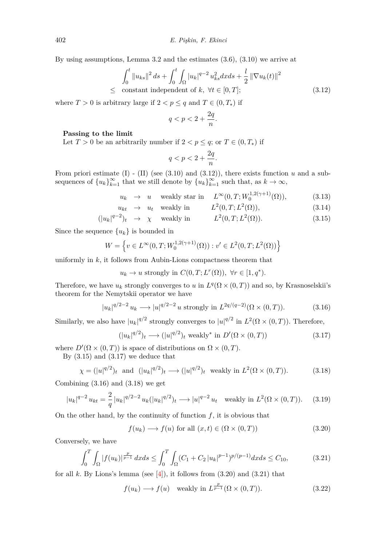By using assumptions, Lemma 3.2 and the estimates (3.6), (3.10) we arrive at

<span id="page-5-0"></span>
$$
\int_0^t \|u_{ks}\|^2 ds + \int_0^t \int_{\Omega} |u_k|^{q-2} u_{ks}^2 dx ds + \frac{l}{2} \|\nabla u_k(t)\|^2
$$
  
  $\leq$  constant independent of  $k, \forall t \in [0, T];$  (3.12)

where  $T > 0$  is arbitrary large if  $2 < p \leq q$  and  $T \in (0, T_*)$  if

$$
q < p < 2 + \frac{2q}{n}.
$$

### **Passing to the limit**

Let  $T > 0$  be an arbitrarily number if  $2 < p \leq q$ ; or  $T \in (0, T_*)$  if

$$
q < p < 2 + \frac{2q}{n}.
$$

From priori estimate  $(I)$  -  $(II)$  (see  $(3.10)$  and  $(3.12)$ ), there exists function  $u$  and a subsequences of  $\{u_k\}_{k=1}^{\infty}$  that we still denote by  $\{u_k\}_{k=1}^{\infty}$  such that, as  $k \to \infty$ ,

> $u_k \rightarrow u$  weakly star in  $L^\infty(0,T;W_0^{1,2(\gamma+1)})$  $\boldsymbol{0}$  $(3.13)$

<span id="page-5-1"></span>
$$
u_{kt} \rightarrow u_t \quad \text{weakly in} \qquad L^2(0, T; L^2(\Omega)), \tag{3.14}
$$

$$
(|u_k|^{q-2})_t \rightarrow \chi \quad \text{weakly in} \qquad L^2(0,T;L^2(\Omega)). \tag{3.15}
$$

Since the sequence  $\{u_k\}$  is bounded in

$$
W = \left\{ v \in L^{\infty}(0, T; W_0^{1, 2(\gamma + 1)}(\Omega)) : v' \in L^2(0, T; L^2(\Omega)) \right\}
$$

uniformly in *k*, it follows from Aubin-Lions compactness theorem that

 $u_k \to u$  strongly in  $C(0,T;L^r(\Omega))$ ,  $\forall r \in [1,q^*).$ 

Therefore, we have  $u_k$  strongly converges to  $u$  in  $L^q(\Omega \times (0,T))$  and so, by Krasnoselskii's theorem for the Nemytskii operator we have

$$
|u_k|^{q/2-2} u_k \longrightarrow |u|^{q/2-2} u \text{ strongly in } L^{2q/(q-2)}(\Omega \times (0,T)).
$$
 (3.16)

Similarly, we also have  $|u_k|^{q/2}$  strongly converges to  $|u|^{q/2}$  in  $L^2(\Omega \times (0,T))$ . Therefore,

<span id="page-5-3"></span><span id="page-5-2"></span>
$$
(|u_k|^{q/2})_t \longrightarrow (|u|^{q/2})_t \text{ weakly* in } D'(\Omega \times (0,T))
$$
\n(3.17)

where  $D'(\Omega \times (0,T))$  is space of distributions on  $\Omega \times (0,T)$ .

By  $(3.15)$  and  $(3.17)$  we deduce that

$$
\chi = (|u|^{q/2})_t \text{ and } (|u_k|^{q/2})_t \longrightarrow (|u|^{q/2})_t \text{ weakly in } L^2(\Omega \times (0,T)).
$$
 (3.18)

Combi[ning](#page-5-1)  $(3.16)$  [and](#page-5-2)  $(3.18)$  we get

<span id="page-5-4"></span>
$$
|u_k|^{q-2} u_{kt} = \frac{2}{q} |u_k|^{q/2-2} u_k(|u_k|^{q/2})_t \longrightarrow |u|^{q-2} u_t \quad \text{weakly in } L^2(\Omega \times (0,T)). \tag{3.19}
$$

On the othe[r han](#page-5-3)d, by [the c](#page-5-4)ontinuity of function  $f$ , it is obvious that

$$
f(u_k) \longrightarrow f(u) \text{ for all } (x, t) \in (\Omega \times (0, T))
$$
\n(3.20)

Conversely, we have

$$
\int_0^T \int_{\Omega} |f(u_k)|^{\frac{p}{p-1}} dx ds \le \int_0^T \int_{\Omega} (C_1 + C_2 |u_k|^{p-1})^{p/(p-1)} dx ds \le C_{10},
$$
\n(3.21)

for all  $k$ . By Lions's lemma (see  $[4]$ ), it follows from  $(3.20)$  and  $(3.21)$  that

$$
f(u_k) \longrightarrow f(u) \quad \text{weakly in } L^{\frac{p}{p-1}}(\Omega \times (0,T)). \tag{3.22}
$$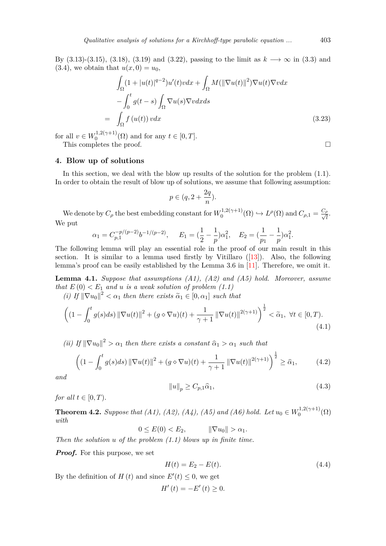By (3.13)-(3.15), (3.18), (3.19) and (3.22), passing to the limit as *k −→ ∞* in (3.3) and  $(3.4)$ , we obtain that  $u(x, 0) = u_0$ ,

$$
\int_{\Omega} (1+|u(t)|^{q-2})u'(t)v dx + \int_{\Omega} M(\|\nabla u(t)\|^2) \nabla u(t) \nabla v dx \n- \int_0^t g(t-s) \int_{\Omega} \nabla u(s) \nabla v dx ds \n= \int_{\Omega} f(u(t)) v dx
$$
\n(3.23)

for all  $v \in W_0^{1,2(\gamma+1)}$  $\sum_{0}^{1,2(\gamma+1)}(\Omega)$  and for any  $t \in [0,T]$ .

This completes the proof.  $\Box$ 

## **4. Blow up of solutions**

In this section, we deal with the blow up results of the solution for the problem (1.1). In order to obtain the result of blow up of solutions, we assume that following assumption:

$$
p\in(q,2+\frac{2q}{n}).
$$

We denote by  $C_\rho$  the best embedding constant for  $W_0^{1,2(\gamma+1)}$  $L^{\rho}(\Omega) \hookrightarrow L^{\rho}(\Omega)$  and  $C_{\rho,1} = \frac{C_{\rho}}{\sqrt{l}}$  $C_{\rho,1} = \frac{C_{\rho}}{\sqrt{l}}$ . We put

$$
\alpha_1 = C_{p,1}^{-p/(p-2)} b^{-1/(p-2)},
$$
  $E_1 = (\frac{1}{2} - \frac{1}{p}) \alpha_1^2,$   $E_2 = (\frac{1}{p_1} - \frac{1}{p}) \alpha_1^2.$ 

The following lemma will play an essential role in the proof of our main result in this section. It is similar to a lemma used firstly by Vitillaro  $(13)$ . Also, the following lemma's proof can be easily established by the Lemma 3.6 in [11]. Therefore, we omit it.

**Lemma 4.1.** *Suppose that assumptions (A1), (A2) and (A5) hold. Moreover, assume that*  $E(0) < E_1$  *and u is a weak solution of problem*  $(1.1)$ 

*(i) If*  $\|\nabla u_0\|^2 < \alpha_1$  *then there exists*  $\tilde{\alpha}_1 \in [0, \alpha_1]$  *such that* 

<span id="page-6-0"></span>
$$
\left( \left( 1 - \int_0^t g(s)ds \right) \left\| \nabla u(t) \right\|^2 + \left( g \diamond \nabla u \right)(t) + \frac{1}{\gamma + 1} \left\| \nabla u(t) \right\|^{2(\gamma + 1)} \right)^{\frac{1}{2}} < \tilde{\alpha}_1, \ \forall t \in [0, T). \tag{4.1}
$$

*(ii)* If  $\|\nabla u_0\|^2 > \alpha_1$  *then there exists a constant*  $\hat{\alpha}_1 > \alpha_1$  *such that* 

$$
\left( (1 - \int_0^t g(s)ds) \|\nabla u(t)\|^2 + (g \diamond \nabla u)(t) + \frac{1}{\gamma + 1} \|\nabla u(t)\|^{2(\gamma + 1)} \right)^{\frac{1}{2}} \ge \widehat{\alpha}_1,
$$
 (4.2)

*and*

<span id="page-6-1"></span>
$$
||u||_p \ge C_{p,1}\widehat{\alpha}_1,\tag{4.3}
$$

*for all*  $t \in [0, T)$ .

**Theorem 4.2.** *Suppose that (A1), (A2), (A4), (A5) and (A6) hold. Let*  $u_0 \in W_0^{1,2(\gamma+1)}$  $\Omega_0^{(1,2(\gamma+1)}(\Omega)$ *with*

 $0 \le E(0) \le E_2$ ,  $\|\nabla u_0\| > \alpha_1$ .

*Then the solution u of the problem (1.1) blows up in finite time.*

*Proof.* For this purpose, we set

$$
H(t) = E_2 - E(t).
$$
\n(4.4)

By the definition of  $H(t)$  and since  $E'(t) \leq 0$  $E'(t) \leq 0$ , we get

$$
H'(t) = -E'(t) \ge 0.
$$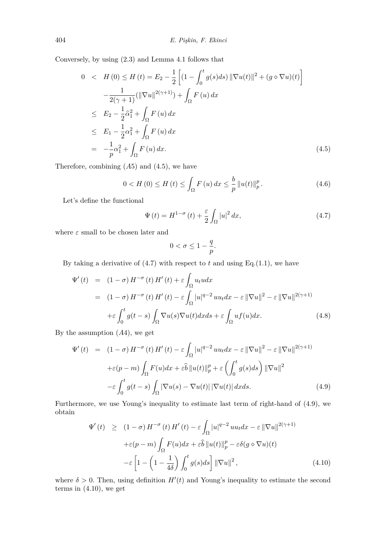Conversely, by using (2.3) and Lemma 4.1 follows that

$$
0 < H(0) \le H(t) = E_2 - \frac{1}{2} \left[ (1 - \int_0^t g(s)ds) ||\nabla u(t)||^2 + (g \diamond \nabla u)(t) \right]
$$
  

$$
- \frac{1}{2(\gamma + 1)} (||\nabla u||^{2(\gamma + 1)}) + \int_{\Omega} F(u) dx
$$
  

$$
\le E_2 - \frac{1}{2}\hat{\alpha}_1^2 + \int_{\Omega} F(u) dx
$$
  

$$
\le E_1 - \frac{1}{2}\alpha_1^2 + \int_{\Omega} F(u) dx
$$
  

$$
= -\frac{1}{p}\alpha_1^2 + \int_{\Omega} F(u) dx.
$$
 (4.5)

Therefore, combining (*A*5) and (4.5), we have

$$
0 < H(0) \le H(t) \le \int_{\Omega} F(u) dx \le \frac{b}{p} ||u(t)||_p^p.
$$
 (4.6)

Let's define the functional

<span id="page-7-1"></span>
$$
\Psi(t) = H^{1-\sigma}(t) + \frac{\varepsilon}{2} \int_{\Omega} |u|^2 dx, \tag{4.7}
$$

where  $\varepsilon$  small to be chosen later and

<span id="page-7-0"></span>
$$
0 < \sigma \le 1 - \frac{q}{p}.
$$

By taking a derivative of  $(4.7)$  with respect to  $t$  and using Eq.(1.1), we have

$$
\Psi'(t) = (1 - \sigma) H^{-\sigma}(t) H'(t) + \varepsilon \int_{\Omega} u_t u dx
$$
  
\n
$$
= (1 - \sigma) H^{-\sigma}(t) H'(t) - \varepsilon \int_{\Omega} |u|^{q-2} u u_t dx - \varepsilon ||\nabla u||^2 - \varepsilon ||\nabla u||^{2(\gamma+1)}
$$
  
\n
$$
+ \varepsilon \int_0^t g(t - s) \int_{\Omega} \nabla u(s) \nabla u(t) dx ds + \varepsilon \int_{\Omega} u f(u) dx.
$$
 (4.8)

By the assumption (*A*4)*,* we get

$$
\Psi'(t) = (1 - \sigma) H^{-\sigma}(t) H'(t) - \varepsilon \int_{\Omega} |u|^{q-2} uu_t dx - \varepsilon ||\nabla u||^2 - \varepsilon ||\nabla u||^{2(\gamma+1)} \n+ \varepsilon (p - m) \int_{\Omega} F(u) dx + \varepsilon \hat{b} ||u(t)||_p^p + \varepsilon \left( \int_0^t g(s) ds \right) ||\nabla u||^2 \n- \varepsilon \int_0^t g(t - s) \int_{\Omega} |\nabla u(s) - \nabla u(t)| |\nabla u(t)| dx ds.
$$
\n(4.9)

Furthermore, we use Young's inequality to estimate last term of right-hand of (4.9), we obtain

<span id="page-7-2"></span>
$$
\Psi'(t) \geq (1 - \sigma) H^{-\sigma}(t) H'(t) - \varepsilon \int_{\Omega} |u|^{q-2} uu_t dx - \varepsilon ||\nabla u||^{2(\gamma+1)} \n+ \varepsilon (p - m) \int_{\Omega} F(u) dx + \varepsilon \hat{b} ||u(t)||_p^p - \varepsilon \delta(g \diamond \nabla u)(t) \n- \varepsilon \left[ 1 - \left( 1 - \frac{1}{4\delta} \right) \int_0^t g(s) ds \right] ||\nabla u||^2,
$$
\n(4.10)

where  $\delta > 0$ . Then, using definition  $H'(t)$  and Young's inequality to estimate the second terms in  $(4.10)$ , we get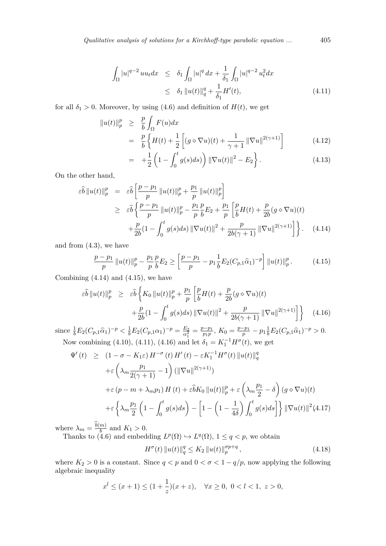$$
\int_{\Omega} |u|^{q-2} u u_t dx \leq \delta_1 \int_{\Omega} |u|^q dx + \frac{1}{\delta_1} \int_{\Omega} |u|^{q-2} u_t^2 dx
$$
  

$$
\leq \delta_1 \|u(t)\|_q^q + \frac{1}{\delta_1} H'(t), \tag{4.11}
$$

for all  $\delta_1 > 0$ . Moreover, by using (4.6) and definition of  $H(t)$ , we get

<span id="page-8-1"></span>
$$
\|u(t)\|_p^p \ge \frac{p}{b} \int_{\Omega} F(u) dx
$$
  
=  $\frac{p}{b} \left\{ H(t) + \frac{1}{2} \left[ (g \diamond \nabla u)(t) + \frac{1}{\gamma + 1} ||\nabla u||^{2(\gamma + 1)} \right] \right\}$  (4.12)  

$$
\frac{1}{b} \left\{ (1 - \int_0^t |(\cdot)|^2 ||\nabla u||^2 \right\} |(\cdot)|^2 \right\}
$$

$$
= +\frac{1}{2} \left( 1 - \int_0^t g(s) ds \right) ||\nabla u(t)||^2 - E_2 \bigg\}.
$$
 (4.13)

On the other hand,

$$
\varepsilon \widehat{b} \|u(t)\|_{p}^{p} = \varepsilon \widehat{b} \left[ \frac{p - p_{1}}{p} \|u(t)\|_{p}^{p} + \frac{p_{1}}{p} \|u(t)\|_{p}^{p} \right]
$$
\n
$$
\geq \varepsilon \widehat{b} \left\{ \frac{p - p_{1}}{p} \|u(t)\|_{p}^{p} - \frac{p_{1}}{p} \frac{p}{b} E_{2} + \frac{p_{1}}{p} \left[ \frac{p}{b} H(t) + \frac{p}{2b} (g \diamond \nabla u)(t) \right. \right.
$$
\n
$$
+ \frac{p}{2b} (1 - \int_{0}^{t} g(s) ds) \|\nabla u(t)\|^{2} + \frac{p}{2b(\gamma + 1)} \|\nabla u\|^{2(\gamma + 1)} \right\}.
$$
\n(4.14)

and from  $(4.3)$ , we have

$$
\frac{p-p_1}{p} \|u(t)\|_p^p - \frac{p_1}{p} \frac{p}{b} E_2 \ge \left[ \frac{p-p_1}{p} - p_1 \frac{1}{b} E_2 (C_{p,1} \widehat{\alpha}_1)^{-p} \right] \|u(t)\|_p^p. \tag{4.15}
$$

Combining  $(4.14)$  and  $(4.15)$ , we have

<span id="page-8-0"></span>
$$
\varepsilon \widehat{b} \|u(t)\|_p^p \geq \varepsilon \widehat{b} \left\{ K_0 \|u(t)\|_p^p + \frac{p_1}{p} \left[ \frac{p}{b} H(t) + \frac{p}{2b} (g \diamond \nabla u)(t) + \frac{p}{2b} (1 - \int_0^t g(s) ds) \|\nabla u(t)\|^2 + \frac{p}{2b(\gamma + 1)} \|\nabla u\|^{2(\gamma + 1)} \right] \right\}
$$
(4.16)

<span id="page-8-2"></span>since  $\frac{1}{b}E_2(C_{p,1}\hat{\alpha}_1)^{-p} < \frac{1}{b}E_2(C_{p,1}\alpha_1)^{-p} = \frac{E_2}{\alpha_1^2}$  $\frac{E_2}{\alpha_1^2} = \frac{p - p_1}{p_1 p}$ ,  $K_0 = \frac{p - p_1}{p} - p_1 \frac{1}{b} E_2(C_{p,1} \hat{\alpha}_1)^{-p} > 0.$ Now combining (4.10), (4.11), (4.16) and let  $\delta_1 = K_1^{-1} H^{\sigma}(t)$ , we get

<span id="page-8-4"></span>
$$
\Psi'(t) \geq (1 - \sigma - K_1 \varepsilon) H^{-\sigma}(t) H'(t) - \varepsilon K_1^{-1} H^{\sigma}(t) \|u(t)\|_q^q
$$
  
+
$$
\varepsilon \left( \lambda_m \frac{p_1}{2(\gamma + 1)} - 1 \right) (\|\nabla u\|^{2(\gamma + 1)})
$$
  
+
$$
\varepsilon (p - m + \lambda_m p_1) H(t) + \varepsilon \delta K_0 \|u(t)\|_p^p + \varepsilon \left( \lambda_m \frac{p_1}{2} - \delta \right) (g \diamond \nabla u)(t)
$$
  
+
$$
\varepsilon \left\{ \lambda_m \frac{p_1}{2} \left( 1 - \int_0^t g(s) ds \right) - \left[ 1 - \left( 1 - \frac{1}{4\delta} \right) \int_0^t g(s) ds \right] \right\} \|\nabla u(t)\|^2 (4.17)
$$

where  $\lambda_m = \frac{b(m)}{b}$  and  $K_1 > 0$ .

Thanks to (4.6) and embedding  $L^p(\Omega) \hookrightarrow L^q(\Omega)$ ,  $1 \leq q < p$ , we obtain

<span id="page-8-3"></span>
$$
H^{\sigma}(t) \|u(t)\|_{q}^{q} \le K_{2} \|u(t)\|_{p}^{\sigma p+q}, \qquad (4.18)
$$

where  $K_2 > 0$  is a constant. Since  $q < p$  and  $0 < \sigma < 1 - q/p$ , now applying the following algebraic ineq[uali](#page-7-1)ty

$$
x^{l} \le (x+1) \le (1+\frac{1}{z})(x+z), \quad \forall x \ge 0, \ 0 < l < 1, \ z > 0,
$$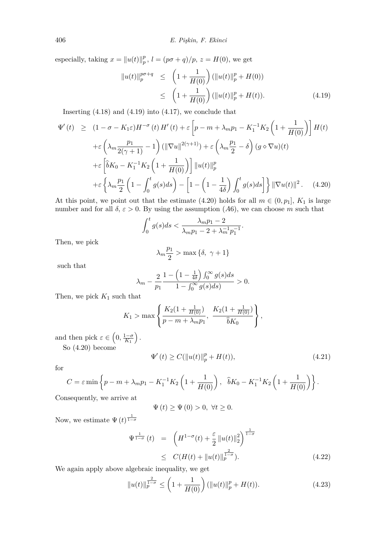especially, taking  $x = ||u(t)||_p^p$  $_p^p$ ,  $l = (p\sigma + q)/p$ ,  $z = H(0)$ , we get

<span id="page-9-0"></span>
$$
||u(t)||_p^{p\sigma+q} \le \left(1 + \frac{1}{H(0)}\right)(||u(t)||_p^p + H(0))
$$
  
 
$$
\le \left(1 + \frac{1}{H(0)}\right)(||u(t)||_p^p + H(t)). \tag{4.19}
$$

Inserting  $(4.18)$  and  $(4.19)$  into  $(4.17)$ , we conclude that

<span id="page-9-1"></span>
$$
\Psi'(t) \geq (1 - \sigma - K_1 \varepsilon) H^{-\sigma}(t) H'(t) + \varepsilon \left[ p - m + \lambda_m p_1 - K_1^{-1} K_2 \left( 1 + \frac{1}{H(0)} \right) \right] H(t)
$$
  
+
$$
\varepsilon \left( \lambda_m \frac{p_1}{2(\gamma + 1)} - 1 \right) (\|\nabla u\|^{2(\gamma + 1)}) + \varepsilon \left( \lambda_m \frac{p_1}{2} - \delta \right) (g \diamond \nabla u)(t)
$$
  
+
$$
\varepsilon \left[ \hat{b} K_0 - K_1^{-1} K_2 \left( 1 + \frac{1}{H(0)} \right) \right] \|u(t)\|_p^p
$$
  
+
$$
\varepsilon \left\{ \lambda_m \frac{p_1}{2} \left( 1 - \int_0^t g(s) ds \right) - \left[ 1 - \left( 1 - \frac{1}{4\delta} \right) \int_0^t g(s) ds \right] \right\} \|\nabla u(t)\|^2. \quad (4.20)
$$

At this point, we point out that the estimate (4.20) holds for all  $m \in (0, p_1]$ ,  $K_1$  is large number and for all  $\delta$ ,  $\varepsilon > 0$ . By using the assumption (A6), we can choose *m* such that

$$
\int_0^t g(s)ds < \frac{\lambda_m p_1 - 2}{\lambda_m p_1 - 2 + \lambda_m^{-1} p_1^{-1}}.
$$

Then, we pick

$$
\lambda_m \frac{p_1}{2} > \max\left\{\delta, \ \gamma + 1\right\}
$$

such that

$$
\lambda_m - \frac{2}{p_1} \frac{1 - \left(1 - \frac{1}{4\delta}\right) \int_0^\infty g(s)ds}{1 - \int_0^\infty g(s)ds} > 0.
$$

Then, we pick  $K_1$  such that

$$
K_1 > \max \left\{ \frac{K_2(1 + \frac{1}{H(0)})}{p - m + \lambda_m p_1}, \frac{K_2(1 + \frac{1}{H(0)})}{\hat{b}K_0} \right\},\,
$$

and then pick  $\varepsilon \in \left(0, \frac{1-\sigma}{K_1}\right)$ *.*

So (4.20) become

$$
\Psi'(t) \ge C(\|u(t)\|_p^p + H(t)),\tag{4.21}
$$

for

$$
C = \varepsilon \min \left\{ p - m + \lambda_m p_1 - K_1^{-1} K_2 \left( 1 + \frac{1}{H(0)} \right), \quad \hat{b} K_0 - K_1^{-1} K_2 \left( 1 + \frac{1}{H(0)} \right) \right\}.
$$

Consequently, we arrive at

<span id="page-9-2"></span>
$$
\Psi\left( t\right) \geq \Psi\left( 0\right) >0,\;\forall t\geq0.
$$

Now, we estimate  $\Psi(t)^{\frac{1}{1-\sigma}}$ 

$$
\Psi^{\frac{1}{1-\sigma}}(t) = \left( H^{1-\sigma}(t) + \frac{\varepsilon}{2} ||u(t)||_2^2 \right)^{\frac{1}{1-\sigma}}
$$
  
\n
$$
\leq C(H(t) + ||u(t)||_p^{\frac{2}{1-\sigma}}).
$$
\n(4.22)

We again apply above algebraic inequality, we get

<span id="page-9-3"></span>
$$
||u(t)||_p^{\frac{2}{1-\sigma}} \le \left(1 + \frac{1}{H(0)}\right)(||u(t)||_p^p + H(t)).\tag{4.23}
$$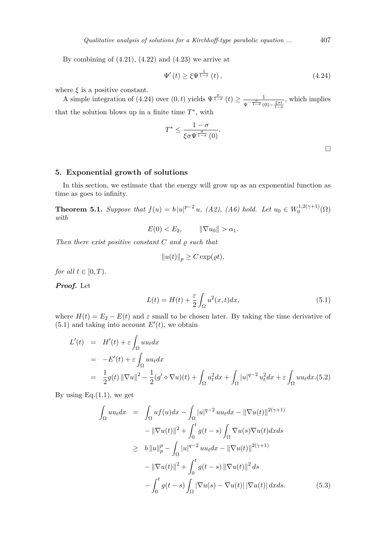By combining of  $(4.21)$ ,  $(4.22)$  and  $(4.23)$  we arrive at

$$
\Psi'(t) \ge \xi \Psi^{\frac{1}{1-\sigma}}(t) \,, \tag{4.24}
$$

where  $\xi$  is a positive [cons](#page-9-2)ta[nt.](#page-9-3)

A simple integration of (4.24) over  $(0, t)$  yields  $\Psi^{\frac{\sigma}{1-\sigma}}(t) \geq \frac{1}{\sqrt{1-\sigma}}$  $\frac{\sigma}{\Psi}$ <sup>-</sup>  $\frac{\sigma}{1-\sigma}$ </sup>(0) –  $\frac{\xi \sigma t}{1-\sigma}$ *,* which implies that the solution blows up in a finite time  $T^*$ , with

$$
T^* \leq \frac{1-\sigma}{\xi \sigma \Psi^{\frac{\sigma}{1-\sigma}}(0)}.
$$

 $\Box$ 

**5. Exponential growth of solutions**

In this section, we estimate that the energy will grow up as an exponential function as time as goes to infinity.

**Theorem 5.1.** *Suppose that*  $f(u) = b |u|^{p-2} u$ , (A2), (A6) hold. Let  $u_0 \in W_0^{1,2(\gamma+1)}$  $\Omega_0^{(1,2(\gamma+1)}(\Omega)$ *with*

$$
E(0) < E_2, \qquad \|\nabla u_0\| > \alpha_1.
$$

*Then there exist positive constant*  $C$  *and*  $\varrho$  *such that* 

$$
||u(t)||_p \ge C \exp(\varrho t),
$$

*for all*  $t \in [0, T)$ *.* 

*Proof.* Let

$$
L(t) = H(t) + \frac{\varepsilon}{2} \int_{\Omega} u^2(x, t) dx,
$$
\n(5.1)

where  $H(t) = E_2 - E(t)$  and  $\varepsilon$  small to be chosen later. By taking the time derivative of  $(5.1)$  and taking into account  $E'(t)$ , we obtain

$$
L'(t) = H'(t) + \varepsilon \int_{\Omega} u u_t dx
$$
  
= 
$$
-E'(t) + \varepsilon \int_{\Omega} u u_t dx
$$
  
= 
$$
\frac{1}{2} g(t) ||\nabla u||^2 - \frac{1}{2} (g' \diamond \nabla u)(t) + \int_{\Omega} u_t^2 dx + \int_{\Omega} |u|^{q-2} u_t^2 dx + \varepsilon \int_{\Omega} u u_t dx. (5.2)
$$

<span id="page-10-0"></span>By using Eq. $(1.1)$ , we get

$$
\int_{\Omega} uu_t dx = \int_{\Omega} uf(u) dx - \int_{\Omega} |u|^{q-2} uu_t dx - ||\nabla u(t)||^{2(\gamma+1)} \n- ||\nabla u(t)||^2 + \int_0^t g(t-s) \int_{\Omega} \nabla u(s) \nabla u(t) dx ds \n\geq b ||u||_p^p - \int_{\Omega} |u|^{q-2} uu_t dx - ||\nabla u(t)||^{2(\gamma+1)} \n- ||\nabla u(t)||^2 + \int_0^t g(t-s) ||\nabla u(t)||^2 ds \n- \int_0^t g(t-s) \int_{\Omega} |\nabla u(s) - \nabla u(t)| |\nabla u(t)| dx ds.
$$
\n(5.3)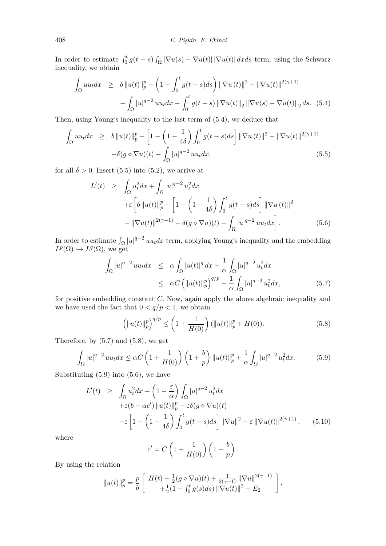In order to estimate  $\int_0^t g(t-s) \int_{\Omega} |\nabla u(s) - \nabla u(t)| |\nabla u(t)| dx ds$  term, using the Schwarz inequality, we obtain

$$
\int_{\Omega} uu_t dx \geq b \|u(t)\|_p^p - \left(1 - \int_0^t g(t-s)ds\right) \|\nabla u(t)\|^2 - \|\nabla u(t)\|^{2(\gamma+1)} - \int_{\Omega} |u|^{q-2} uu_t dx - \int_0^t g(t-s) \|\nabla u(t)\|_2 \|\nabla u(s) - \nabla u(t)\|_2 ds. \tag{5.4}
$$

Then, using Young's inequality to the last term of (5.4), we deduce that

$$
\int_{\Omega} uu_t dx \geq b \|u(t)\|_p^p - \left[1 - \left(1 - \frac{1}{4\delta}\right) \int_0^t g(t-s) ds\right] \|\nabla u(t)\|^2 - \|\nabla u(t)\|^{2(\gamma+1)} - \delta(g \diamond \nabla u)(t) - \int_{\Omega} |u|^{q-2} uu_t dx,
$$
\n(5.5)

<span id="page-11-0"></span>for all  $\delta > 0$ . Insert (5.5) into (5.2), we arrive at

<span id="page-11-3"></span>
$$
L'(t) \geq \int_{\Omega} u_t^2 dx + \int_{\Omega} |u|^{q-2} u_t^2 dx
$$
  
+
$$
\varepsilon \left[ b ||u(t)||_p^p - \left[ 1 - \left( 1 - \frac{1}{4\delta} \right) \int_0^t g(t-s) ds \right] ||\nabla u(t)||^2
$$
  
- 
$$
||\nabla u(t)||^{2(\gamma+1)} - \delta(g \diamond \nabla u)(t) - \int_{\Omega} |u|^{q-2} uu_t dx \right].
$$
 (5.6)

In order to estimate  $\int_{\Omega} |u|^{q-2} u u_t dx$  term, applying Young's inequality and the embedding  $L^p(\Omega) \hookrightarrow L^q(\Omega)$ , we get

$$
\int_{\Omega} |u|^{q-2} uu_t dx \leq \alpha \int_{\Omega} |u(t)|^q dx + \frac{1}{\alpha} \int_{\Omega} |u|^{q-2} u_t^2 dx
$$
  

$$
\leq \alpha C \left( \|u(t)\|_p^p \right)^{q/p} + \frac{1}{\alpha} \int_{\Omega} |u|^{q-2} u_t^2 dx, \tag{5.7}
$$

for positive embedding constant *C.* Now, again apply the above algebraic inequality and we have used the fact that  $0 < q/p < 1$ , we obtain

<span id="page-11-2"></span><span id="page-11-1"></span>
$$
\left(\|u(t)\|_p^p\right)^{q/p} \le \left(1 + \frac{1}{H(0)}\right) \left(\|u(t)\|_p^p + H(0)\right). \tag{5.8}
$$

Therefore, by  $(5.7)$  and  $(5.8)$ , we get

$$
\int_{\Omega} |u|^{q-2} u u_t dx \le \alpha C \left( 1 + \frac{1}{H(0)} \right) \left( 1 + \frac{b}{p} \right) \| u(t) \|_{p}^{p} + \frac{1}{\alpha} \int_{\Omega} |u|^{q-2} u_t^2 dx. \tag{5.9}
$$

Substituting  $(5.9)$  $(5.9)$  into  $(5.6)$  $(5.6)$ , we have

<span id="page-11-4"></span>
$$
L'(t) \geq \int_{\Omega} u_t^2 dx + \left(1 - \frac{\varepsilon}{\alpha}\right) \int_{\Omega} |u|^{q-2} u_t^2 dx
$$
  
+ $\varepsilon (b - \alpha c') ||u(t)||_p^p - \varepsilon \delta(g \diamond \nabla u)(t)$   
- $\varepsilon \left[1 - \left(1 - \frac{1}{4\delta}\right) \int_0^t g(t - s) ds\right] ||\nabla u||^2 - \varepsilon ||\nabla u(t)||^{2(\gamma+1)}, \quad (5.10)$ 

where

$$
c' = C \left( 1 + \frac{1}{H(0)} \right) \left( 1 + \frac{b}{p} \right).
$$

By using the relation

$$
||u(t)||_p^p = \frac{p}{b} \left[ H(t) + \frac{1}{2}(g \diamond \nabla u)(t) + \frac{1}{2(\gamma+1)} ||\nabla u||^{2(\gamma+1)} \n+ \frac{1}{2}(1 - \int_0^t g(s)ds) ||\nabla u(t)||^2 - E_2 \right],
$$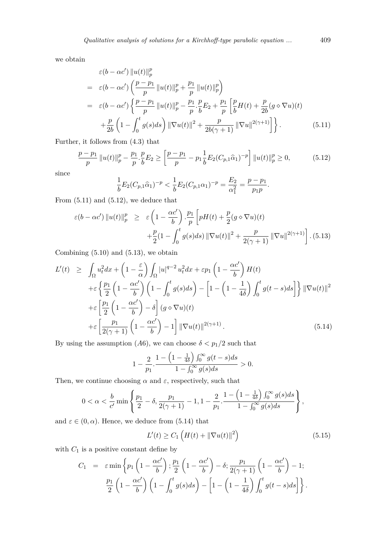we obtain

$$
\varepsilon(b - \alpha c') \left\| u(t) \right\|_{p}^{p}
$$
\n
$$
= \varepsilon(b - \alpha c') \left( \frac{p - p_1}{p} \left\| u(t) \right\|_{p}^{p} + \frac{p_1}{p} \left\| u(t) \right\|_{p}^{p} \right)
$$
\n
$$
= \varepsilon(b - \alpha c') \left\{ \frac{p - p_1}{p} \left\| u(t) \right\|_{p}^{p} - \frac{p_1}{p} \cdot \frac{p}{b} E_2 + \frac{p_1}{p} \left[ \frac{p}{b} H(t) + \frac{p}{2b} (g \diamond \nabla u)(t) \right. \right.
$$
\n
$$
+ \frac{p}{2b} \left( 1 - \int_{0}^{t} g(s) ds \right) \left\| \nabla u(t) \right\|^{2} + \frac{p}{2b(\gamma + 1)} \left\| \nabla u \right\|^{2(\gamma + 1)} \right\}.
$$
\n(5.11)

Further, it follows from (4.3) that

$$
\frac{p-p_1}{p} \|u(t)\|_p^p - \frac{p_1}{p} \cdot \frac{p}{b} E_2 \ge \left[ \frac{p-p_1}{p} - p_1 \frac{1}{b} E_2 (C_{p,1} \hat{\alpha}_1)^{-p} \right] \|u(t)\|_p^p \ge 0,
$$
\n(5.12)

since

$$
\frac{1}{b}E_2(C_{p,1}\widehat{\alpha}_1)^{-p} < \frac{1}{b}E_2(C_{p,1}\alpha_1)^{-p} = \frac{E_2}{\alpha_1^2} = \frac{p-p_1}{p_1p}.
$$

From  $(5.11)$  and  $(5.12)$ , we deduce that

$$
\varepsilon(b - \alpha c') \left\| u(t) \right\|_p^p \ge \varepsilon \left( 1 - \frac{\alpha c'}{b} \right) \cdot \frac{p_1}{p} \left[ pH(t) + \frac{p}{2} (g \diamond \nabla u)(t) + \frac{p}{2} (1 - \int_0^t g(s) ds) \left\| \nabla u(t) \right\|^2 + \frac{p}{2(\gamma + 1)} \left\| \nabla u \right\|^{2(\gamma + 1)} \right].
$$
 (5.13)

<span id="page-12-0"></span>Combining  $(5.10)$  and  $(5.13)$ , we obtain

$$
L'(t) \geq \int_{\Omega} u_t^2 dx + \left(1 - \frac{\varepsilon}{\alpha}\right) \int_{\Omega} |u|^{q-2} u_t^2 dx + \varepsilon p_1 \left(1 - \frac{\alpha c'}{b}\right) H(t)
$$
  
+
$$
\varepsilon \left\{ \frac{p_1}{2} \left(1 - \frac{\alpha c'}{b}\right) \left(1 - \int_0^t g(s) ds\right) - \left[1 - \left(1 - \frac{1}{4\delta}\right) \int_0^t g(t - s) ds\right] \right\} ||\nabla u(t)||^2
$$
  
+
$$
\varepsilon \left[\frac{p_1}{2} \left(1 - \frac{\alpha c'}{b}\right) - \delta \right] (g \diamond \nabla u)(t)
$$
  
+
$$
\varepsilon \left[\frac{p_1}{2(\gamma + 1)} \left(1 - \frac{\alpha c'}{b}\right) - 1 \right] ||\nabla u(t)||^{2(\gamma + 1)}.
$$
 (5.14)

By using the assumption (*A*6), we can choose  $\delta < p_1/2$  such that

$$
1 - \frac{2}{p_1} \cdot \frac{1 - \left(1 - \frac{1}{4\delta}\right) \int_0^\infty g(t - s) ds}{1 - \int_0^\infty g(s) ds} > 0.
$$

Then, we continue choosing  $\alpha$  and  $\varepsilon$ , respectively, such that

$$
0<\alpha<\frac{b}{c'}\min\left\{\frac{p_1}{2}-\delta,\frac{p_1}{2(\gamma+1)}-1,1-\frac{2}{p_1}.\frac{1-\left(1-\frac{1}{4\delta}\right)\int_0^\infty g(s)ds}{1-\int_0^\infty g(s)ds}\right\},
$$

and  $\varepsilon \in (0, \alpha)$ . Hence, we deduce from (5.14) that

<span id="page-12-1"></span>
$$
L'(t) \ge C_1 \left( H(t) + \|\nabla u(t)\|^2 \right) \tag{5.15}
$$

with  $C_1$  is a positive constant define by

$$
C_1 = \varepsilon \min \left\{ p_1 \left( 1 - \frac{\alpha c'}{b} \right); \frac{p_1}{2} \left( 1 - \frac{\alpha c'}{b} \right) - \delta; \frac{p_1}{2(\gamma + 1)} \left( 1 - \frac{\alpha c'}{b} \right) - 1; \frac{p_1}{2} \left( 1 - \frac{\alpha c'}{b} \right) \left( 1 - \int_0^t g(s) ds \right) - \left[ 1 - \left( 1 - \frac{1}{4\delta} \right) \int_0^t g(t - s) ds \right] \right\}.
$$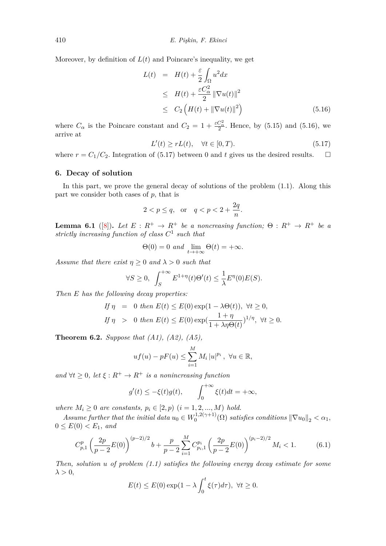Moreover, by definition of  $L(t)$  and Poincare's inequality, we get

<span id="page-13-0"></span>
$$
L(t) = H(t) + \frac{\varepsilon}{2} \int_{\Omega} u^2 dx
$$
  
\n
$$
\leq H(t) + \frac{\varepsilon C_{\alpha}^2}{2} ||\nabla u(t)||^2
$$
  
\n
$$
\leq C_2 \left( H(t) + ||\nabla u(t)||^2 \right)
$$
\n(5.16)

where  $C_{\alpha}$  is the Poincare constant and  $C_2 = 1 + \frac{\varepsilon C_{\alpha}^2}{2}$ . Hence, by (5.15) and (5.16), we arrive at

<span id="page-13-1"></span>
$$
L'(t) \ge rL(t), \quad \forall t \in [0, T). \tag{5.17}
$$

where  $r = C_1/C_2$ . Integration of (5.17) between 0 and t gives us the [desi](#page-12-1)red res[ults.](#page-13-0)  $\Box$ 

## **6. Decay of solution**

In this part, we prove the gene[ral d](#page-13-1)ecay of solutions of the problem (1.1). Along this part we consider both cases of *p,* that is

$$
2 < p \le q, \quad \text{or} \quad q < p < 2 + \frac{2q}{n}.
$$

**Lemma 6.1** ([8]). Let  $E: R^+ \to R^+$  be a noncreasing function;  $\Theta: R^+ \to R^+$  be a *strictly increasing function of class C* 1 *such that*

$$
\Theta(0) = 0 \text{ and } \lim_{t \to +\infty} \Theta(t) = +\infty.
$$

<span id="page-13-2"></span>*Assume that th[er](#page-16-9)e exist*  $\eta \geq 0$  *and*  $\lambda > 0$  *such that* 

$$
\forall S \ge 0, \ \int_{S}^{+\infty} E^{1+\eta}(t) \Theta'(t) \le \frac{1}{\lambda} E^{\eta}(0) E(S).
$$

*Then E has the following decay properties:*

If 
$$
\eta = 0
$$
 then  $E(t) \le E(0) \exp(1 - \lambda \Theta(t))$ ,  $\forall t \ge 0$ ,  
If  $\eta > 0$  then  $E(t) \le E(0) \exp(\frac{1 + \eta}{1 + \lambda \eta \Theta(t)})^{1/\eta}$ ,  $\forall t \ge 0$ .

**Theorem 6.2.** *Suppose that (A1), (A2), (A5),*

$$
uf(u)-pF(u) \leq \sum_{i=1}^{M} M_i |u|^{p_i}, \ \forall u \in \mathbb{R},
$$

*and*  $\forall t \geq 0$ *, let*  $\xi : R^+ \to R^+$  *is a nonincreasing function* 

$$
g'(t) \leq -\xi(t)g(t),
$$
  $\int_0^{+\infty} \xi(t)dt = +\infty,$ 

*where*  $M_i \geq 0$  *are constants,*  $p_i \in [2, p)$   $(i = 1, 2, ..., M)$  *hold.* 

*Assume further that the initial data*  $u_0 \in W_0^{1,2(\gamma+1)}$  $\int_0^{1,2(\gamma+1)} (\Omega)$  *satisfies conditions*  $\|\nabla u_0\|_2 < \alpha_1$ ,  $0 \leq E(0) < E_1$ *, and* 

$$
C_{p,1}^p \left(\frac{2p}{p-2}E(0)\right)^{(p-2)/2}b + \frac{p}{p-2}\sum_{i=1}^M C_{p_i,1}^{p_i} \left(\frac{2p}{p-2}E(0)\right)^{(p_i-2)/2}M_i < 1.
$$
 (6.1)

*Then, solution u of problem (1.1) satisfies the following energy decay estimate for some*  $\lambda > 0$ ,

$$
E(t) \le E(0) \exp(1 - \lambda \int_0^t \xi(\tau) d\tau), \ \forall t \ge 0.
$$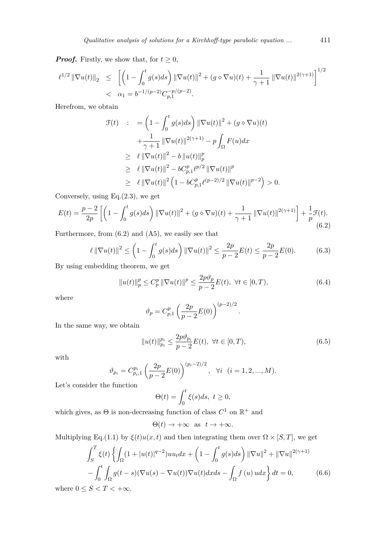*Proof.* Firstly, we show that, for  $t \geq 0$ ,

$$
\ell^{1/2} \|\nabla u(t)\|_2 \leq \left[ \left( 1 - \int_0^t g(s)ds \right) \|\nabla u(t)\|^2 + (g \diamond \nabla u)(t) + \frac{1}{\gamma + 1} \|\nabla u(t)\|^{2(\gamma + 1)} \right]^{1/2}
$$
  
<  $\alpha_1 = b^{-1/(p-2)} C_{p,1}^{-p/(p-2)}.$ 

Herefrom, we obtain

$$
\mathcal{F}(t) : = \left(1 - \int_0^t g(s)ds\right) \|\nabla u(t)\|^2 + (g \diamond \nabla u)(t) \n+ \frac{1}{\gamma + 1} \|\nabla u(t)\|^{2(\gamma + 1)} - p \int_{\Omega} F(u) dx \n\geq \ell \|\nabla u(t)\|^2 - b \|u(t)\|_p^p \n\geq \ell \|\nabla u(t)\|^2 - bC_{p,1}^p \ell^{p/2} \|\nabla u(t)\|^p \n\geq \ell \|\nabla u(t)\|^2 \left(1 - bC_{p,1}^p \ell^{(p-2)/2} \|\nabla u(t)\|^{p-2}\right) > 0.
$$

Conversely, using Eq.(2.3)*,* we get

$$
E(t) = \frac{p-2}{2p} \left[ \left( 1 - \int_0^t g(s)ds \right) \left\| \nabla u(t) \right\|^2 + (g \diamond \nabla u)(t) + \frac{1}{\gamma + 1} \left\| \nabla u(t) \right\|^{2(\gamma + 1)} \right] + \frac{1}{p} \mathcal{F}(t).
$$
\n(6.2)

<span id="page-14-0"></span>Furthermore, from  $(6.2)$  and  $(A5)$ , we easily see that

$$
\ell \|\nabla u(t)\|^2 \le \left(1 - \int_0^t g(s)ds\right) \|\nabla u(t)\|^2 \le \frac{2p}{p-2}E(t) \le \frac{2p}{p-2}E(0). \tag{6.3}
$$

By using embeddin[g th](#page-14-0)eorem, we get

<span id="page-14-2"></span>
$$
||u(t)||_{p}^{p} \le C_{p}^{p} ||\nabla u(t)||^{p} \le \frac{2p\vartheta_{p}}{p-2}E(t), \ \forall t \in [0, T), \tag{6.4}
$$

where

$$
\vartheta_p = C_{p,1}^p \left(\frac{2p}{p-2}E(0)\right)^{(p-2)/2}
$$

In the same way, we obtain

$$
||u(t)||_{p_i}^{p_i} \le \frac{2p\vartheta_{p_i}}{p-2}E(t), \ \forall t \in [0, T), \tag{6.5}
$$

*.*

with

$$
\vartheta_{p_i} = C_{p_i,1}^{p_i} \left(\frac{2p}{p-2} E(0)\right)^{(p_i-2)/2}, \quad \forall i \quad (i = 1,2,...,M).
$$

Let's consider the function

$$
\Theta(t) = \int_0^t \xi(s)ds, \ t \ge 0,
$$

which gives, as  $\Theta$  is non-decreasing function of class  $C^1$  on  $\mathbb{R}^+$  and

$$
\Theta(t) \to +\infty \text{ as } t \to +\infty.
$$

Multiplying Eq.(1.1) by  $\xi(t)u(x,t)$  and then integrating them over  $\Omega \times [S,T]$ , we get

$$
\int_{S}^{T} \xi(t) \left\{ \int_{\Omega} (1+|u(t)|^{q-2})uu_t dx + \left(1 - \int_{0}^{t} g(s)ds\right) ||\nabla u||^2 + ||\nabla u||^{2(\gamma+1)}\right\}
$$

$$
- \int_{0}^{t} \int_{\Omega} g(t-s)(\nabla u(s) - \nabla u(t))\nabla u(t) dx ds - \int_{\Omega} f(u)udx \right\} dt = 0,
$$
(6.6)

<span id="page-14-1"></span>where  $0\leq S < T < +\infty.$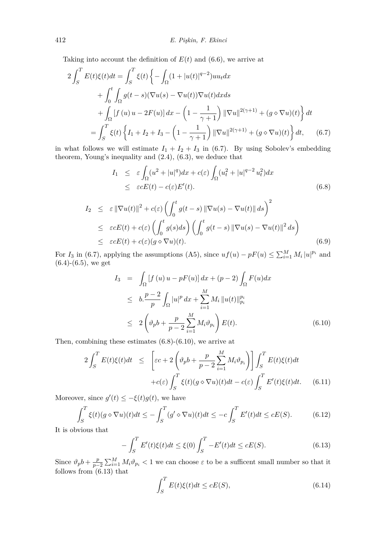Taking into account the definition of  $E(t)$  and (6.6), we arrive at

$$
2\int_{S}^{T} E(t)\xi(t)dt = \int_{S}^{T} \xi(t) \left\{ -\int_{\Omega} (1+|u(t)|^{q-2})uu_{t}dx + \int_{0}^{t} \int_{\Omega} g(t-s)(\nabla u(s) - \nabla u(t))\nabla u(t)dxds + \int_{\Omega} [f(u)u - 2F(u)] dx - \left(1 - \frac{1}{\gamma + 1}\right) ||\nabla u||^{2(\gamma+1)} + (g \diamond \nabla u)(t) \right\} dt = \int_{S}^{T} \xi(t) \left\{ I_{1} + I_{2} + I_{3} - \left(1 - \frac{1}{\gamma + 1}\right) ||\nabla u||^{2(\gamma+1)} + (g \diamond \nabla u)(t) \right\} dt, \quad (6.7)
$$

in what follows we will estimate  $I_1 + I_2 + I_3$  in (6.7). By using Sobolev's embedding theorem, Young's inequality and (2.4), (6.3), we deduce that

<span id="page-15-0"></span>
$$
I_1 \leq \varepsilon \int_{\Omega} (u^2 + |u|^q) dx + c(\varepsilon) \int_{\Omega} (u_t^2 + |u|^{q-2} u_t^2) dx
$$
  
 
$$
\leq \varepsilon c E(t) - c(\varepsilon) E'(t).
$$
 (6.8)

<span id="page-15-1"></span>
$$
I_2 \leq \varepsilon \|\nabla u(t)\|^2 + c(\varepsilon) \left( \int_0^t g(t-s) \|\nabla u(s) - \nabla u(t)\| \, ds \right)^2
$$
  
\n
$$
\leq \varepsilon cE(t) + c(\varepsilon) \left( \int_0^t g(s)ds \right) \left( \int_0^t g(t-s) \|\nabla u(s) - \nabla u(t)\|^2 \, ds \right)
$$
  
\n
$$
\leq \varepsilon cE(t) + c(\varepsilon)(g \diamond \nabla u)(t).
$$
 (6.9)

For *I*<sub>3</sub> in (6.7), applying the assumptions (A5), since  $uf(u) - pF(u) \le \sum_{i=1}^{M} M_i |u|^{p_i}$  and  $(6.4)-(6.5)$ , we get

<span id="page-15-2"></span>
$$
I_3 = \int_{\Omega} [f(u) u - pF(u)] dx + (p - 2) \int_{\Omega} F(u) dx
$$
  
\n
$$
\leq b \cdot \frac{p - 2}{p} \int_{\Omega} |u|^p dx + \sum_{i=1}^{M} M_i ||u(t)||_{p_i}^{p_i}
$$
  
\n
$$
\leq 2 \left( \vartheta_p b + \frac{p}{p - 2} \sum_{i=1}^{M} M_i \vartheta_{p_i} \right) E(t).
$$
 (6.10)

Then, combining these estimates (6.8)-(6.10), we arrive at

$$
2\int_{S}^{T} E(t)\xi(t)dt \leq \left[\varepsilon c + 2\left(\vartheta_{p}b + \frac{p}{p-2}\sum_{i=1}^{M} M_{i}\vartheta_{p_{i}}\right)\right] \int_{S}^{T} E(t)\xi(t)dt
$$

$$
+ c(\varepsilon) \int_{S}^{T} \xi(t)(g \diamond \nabla u)(t)dt - c(\varepsilon) \int_{S}^{T} E'(t)\xi(t)dt. \tag{6.11}
$$

Moreover, since  $g'(t) \leq -\xi(t)g(t)$ , we have

$$
\int_{S}^{T} \xi(t)(g \diamond \nabla u)(t)dt \le -\int_{S}^{T} (g' \diamond \nabla u)(t)dt \le -c \int_{S}^{T} E'(t)dt \le cE(S). \tag{6.12}
$$

It is obvious that

$$
-\int_{S}^{T} E'(t)\xi(t)dt \le \xi(0)\int_{S}^{T} -E'(t)dt \le cE(S).
$$
 (6.13)

Since  $\vartheta_p b + \frac{p}{p-1}$  $\frac{p}{p-2} \sum_{i=1}^{M} M_i \vartheta_{p_i} < 1$  we can choose  $\varepsilon$  to be a sufficent small number so that it follows from  $(6.13)$  that

$$
\int_{S}^{T} E(t)\xi(t)dt \le cE(S),\tag{6.14}
$$